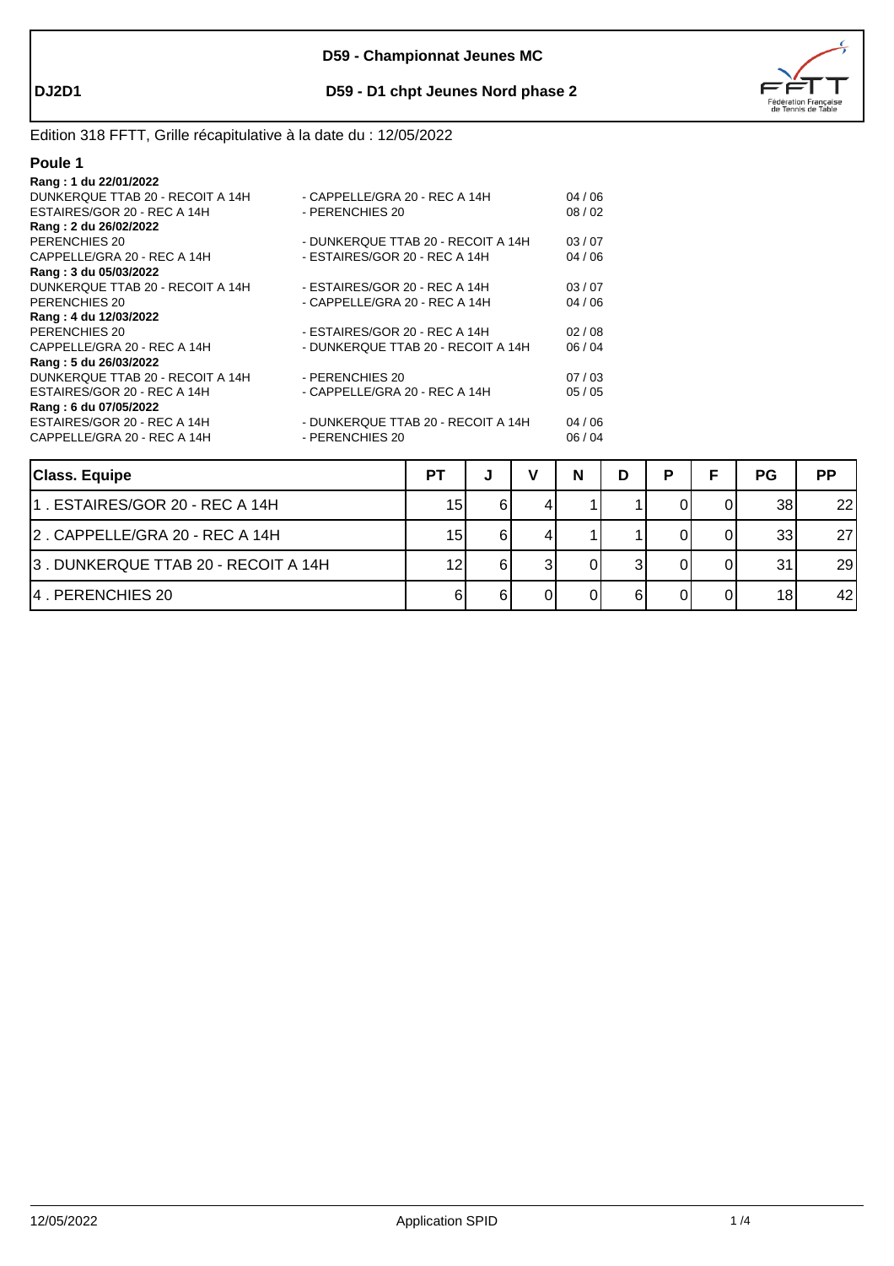

### **DJ2D1 D59 - D1 chpt Jeunes Nord phase 2**

# Edition 318 FFTT, Grille récapitulative à la date du : 12/05/2022

| ۱<br>11 |  |
|---------|--|
|         |  |

| Rang: 1 du 22/01/2022            |                                    |       |
|----------------------------------|------------------------------------|-------|
| DUNKERQUE TTAB 20 - RECOIT A 14H | - CAPPELLE/GRA 20 - REC A 14H      | 04/06 |
| ESTAIRES/GOR 20 - REC A 14H      | - PERENCHIES 20                    | 08/02 |
| Rang: 2 du 26/02/2022            |                                    |       |
| PERENCHIES 20                    | - DUNKERQUE TTAB 20 - RECOIT A 14H | 03/07 |
| CAPPELLE/GRA 20 - REC A 14H      | - ESTAIRES/GOR 20 - REC A 14H      | 04/06 |
| Rang: 3 du 05/03/2022            |                                    |       |
| DUNKERQUE TTAB 20 - RECOIT A 14H | - ESTAIRES/GOR 20 - REC A 14H      | 03/07 |
| PERENCHIES 20                    | - CAPPELLE/GRA 20 - REC A 14H      | 04/06 |
| Rang: 4 du 12/03/2022            |                                    |       |
| PERENCHIES 20                    | - ESTAIRES/GOR 20 - REC A 14H      | 02/08 |
| CAPPELLE/GRA 20 - REC A 14H      | - DUNKERQUE TTAB 20 - RECOIT A 14H | 06/04 |
| Rang: 5 du 26/03/2022            |                                    |       |
| DUNKERQUE TTAB 20 - RECOIT A 14H | - PERENCHIES 20                    | 07/03 |
| ESTAIRES/GOR 20 - REC A 14H      | - CAPPELLE/GRA 20 - REC A 14H      | 05/05 |
| Rang: 6 du 07/05/2022            |                                    |       |
| ESTAIRES/GOR 20 - REC A 14H      | - DUNKERQUE TTAB 20 - RECOIT A 14H | 04/06 |
| CAPPELLE/GRA 20 - REC A 14H      | - PERENCHIES 20                    | 06/04 |
|                                  |                                    |       |

| Class. Equipe                       | <b>PT</b>       | w | v | N | D | D | PG              | <b>PP</b> |
|-------------------------------------|-----------------|---|---|---|---|---|-----------------|-----------|
| 11 . ESTAIRES/GOR 20 - REC A 14H    | 15 <sub>l</sub> |   |   |   |   |   | 38              | 22        |
| 2. CAPPELLE/GRA 20 - REC A 14H      | 15I             | 6 |   |   |   |   | 33              | 27        |
| 3. DUNKERQUE TTAB 20 - RECOIT A 14H | 12              | 6 |   |   |   |   | 31              | 29        |
| 14 PERENCHIES 20                    |                 |   |   |   |   |   | 18 <sup>1</sup> | 42        |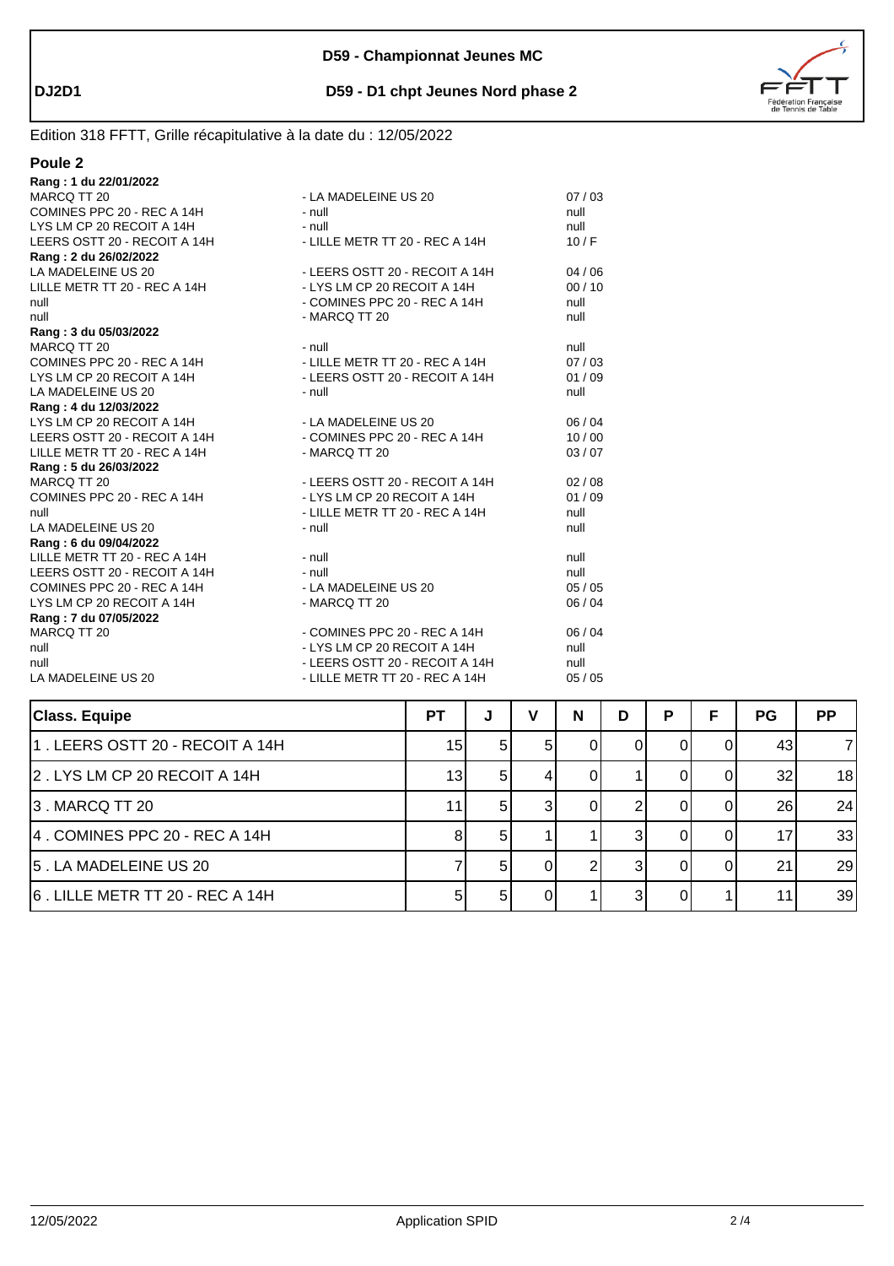



# Edition 318 FFTT, Grille récapitulative à la date du : 12/05/2022

| Poule <sub>2</sub>           |                                |         |
|------------------------------|--------------------------------|---------|
| Rang: 1 du 22/01/2022        |                                |         |
| MARCQ TT 20                  | - LA MADELEINE US 20           | 07/03   |
| COMINES PPC 20 - REC A 14H   | $-$ null                       | null    |
| LYS LM CP 20 RECOIT A 14H    | $-$ null                       | null    |
| LEERS OSTT 20 - RECOIT A 14H | - LILLE METR TT 20 - REC A 14H | 10/F    |
| Rang: 2 du 26/02/2022        |                                |         |
| LA MADELEINE US 20           | - LEERS OSTT 20 - RECOIT A 14H | 04/06   |
| LILLE METR TT 20 - REC A 14H | - LYS LM CP 20 RECOIT A 14H    | 00/10   |
| null                         | - COMINES PPC 20 - REC A 14H   | null    |
| null                         | - MARCQ TT 20                  | null    |
| Rang: 3 du 05/03/2022        |                                |         |
| MARCQ TT 20                  | - null                         | null    |
| COMINES PPC 20 - REC A 14H   | - LILLE METR TT 20 - REC A 14H | 07/03   |
| LYS LM CP 20 RECOIT A 14H    | - LEERS OSTT 20 - RECOIT A 14H | 01/09   |
| LA MADELEINE US 20           | $-$ null                       | null    |
| Rang: 4 du 12/03/2022        |                                |         |
| LYS LM CP 20 RECOIT A 14H    | - LA MADELEINE US 20           | 06/04   |
| LEERS OSTT 20 - RECOIT A 14H | - COMINES PPC 20 - REC A 14H   | 10/00   |
| LILLE METR TT 20 - REC A 14H | - MARCQ TT 20                  | 03/07   |
| Rang: 5 du 26/03/2022        |                                |         |
| MARCQ TT 20                  | - LEERS OSTT 20 - RECOIT A 14H | 02/08   |
| COMINES PPC 20 - REC A 14H   | - LYS LM CP 20 RECOIT A 14H    | 01/09   |
| null                         | - LILLE METR TT 20 - REC A 14H | null    |
| LA MADELEINE US 20           | - null                         | null    |
| Rang: 6 du 09/04/2022        |                                |         |
| LILLE METR TT 20 - REC A 14H | - null                         | null    |
| LEERS OSTT 20 - RECOIT A 14H | - null                         | null    |
| COMINES PPC 20 - REC A 14H   | - LA MADELEINE US 20           | 05/05   |
| LYS LM CP 20 RECOIT A 14H    | - MARCQ TT 20                  | 06 / 04 |
| Rang: 7 du 07/05/2022        |                                |         |
| MARCQ TT 20                  | - COMINES PPC 20 - REC A 14H   | 06/04   |
| null                         | - LYS LM CP 20 RECOIT A 14H    | null    |
| null                         | - LEERS OSTT 20 - RECOIT A 14H | null    |
| LA MADELEINE US 20           | - LILLE METR TT 20 - REC A 14H | 05/05   |

| <b>Class. Equipe</b>            | <b>PT</b>       | J    | v | N | D | P | F | <b>PG</b> | <b>PP</b>      |
|---------------------------------|-----------------|------|---|---|---|---|---|-----------|----------------|
| 1. LEERS OSTT 20 - RECOIT A 14H | 15 <sub>1</sub> | 51   |   |   |   |   |   | 43        | $\overline{7}$ |
| 2. LYS LM CP 20 RECOIT A 14H    | 13 <sub>l</sub> | 51   |   |   |   |   |   | 32        | 18             |
| 3. MARCQ TT 20                  | 11              | 51   |   |   |   |   |   | 26        | 24             |
| 4. COMINES PPC 20 - REC A 14H   |                 | .5 I |   |   |   |   |   | 17        | 33             |
| 5. LA MADELEINE US 20           |                 |      |   |   |   |   |   | 21        | 29             |
| 6. LILLE METR TT 20 - REC A 14H |                 | 51   |   |   |   |   |   | 11        | 39             |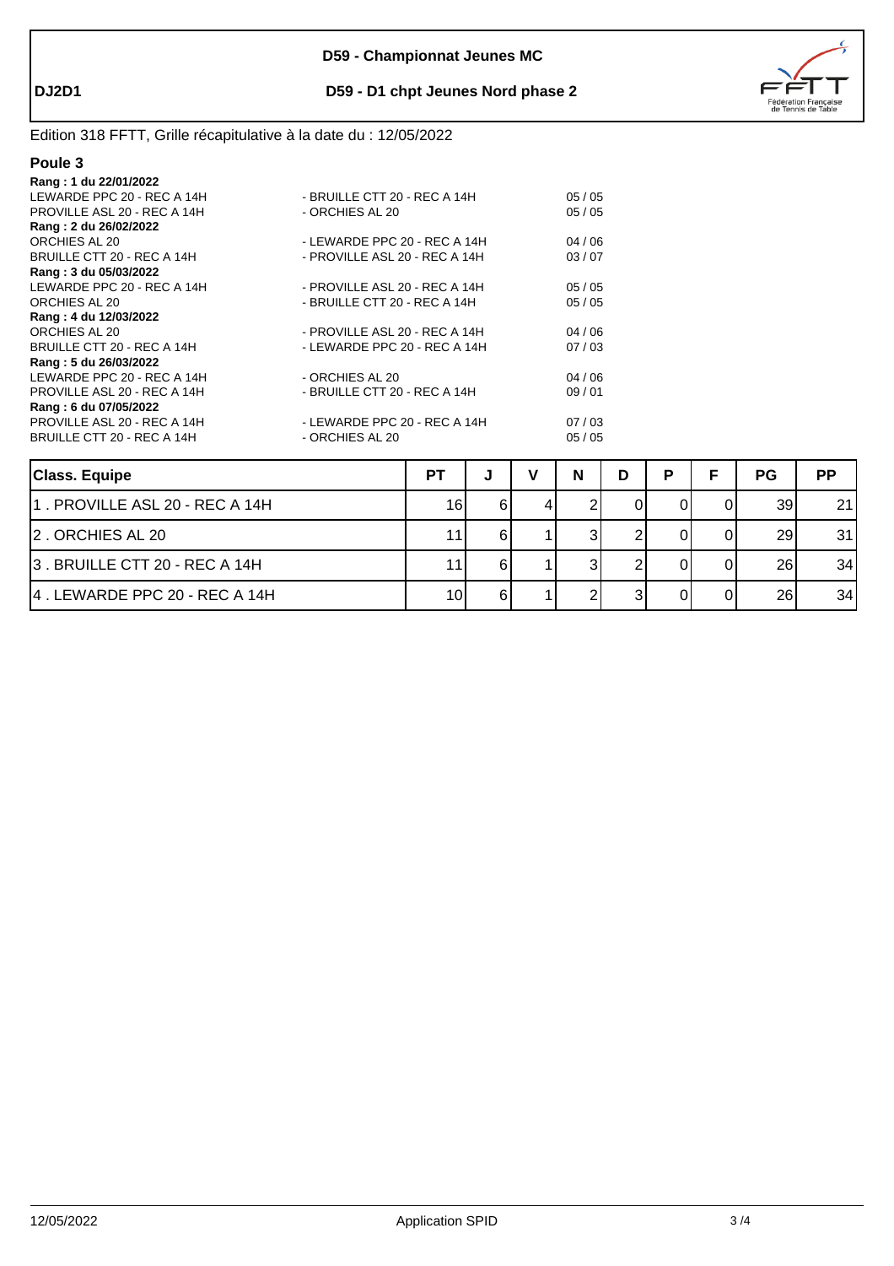

### **DJ2D1 D59 - D1 chpt Jeunes Nord phase 2**

# Edition 318 FFTT, Grille récapitulative à la date du : 12/05/2022

| 1 I<br>I |  |
|----------|--|
|          |  |

| Rang: 1 du 22/01/2022       |                               |       |
|-----------------------------|-------------------------------|-------|
| LEWARDE PPC 20 - REC A 14H  | - BRUILLE CTT 20 - REC A 14H  | 05/05 |
| PROVILLE ASL 20 - REC A 14H | - ORCHIES AL 20               | 05/05 |
| Rang: 2 du 26/02/2022       |                               |       |
| ORCHIES AL 20               | - LEWARDE PPC 20 - REC A 14H  | 04/06 |
| BRUILLE CTT 20 - REC A 14H  | - PROVILLE ASL 20 - REC A 14H | 03/07 |
| Rang: 3 du 05/03/2022       |                               |       |
| LEWARDE PPC 20 - REC A 14H  | - PROVILLE ASL 20 - REC A 14H | 05/05 |
| ORCHIES AL 20               | - BRUILLE CTT 20 - REC A 14H  | 05/05 |
| Rang: 4 du 12/03/2022       |                               |       |
| ORCHIES AL 20               | - PROVILLE ASL 20 - REC A 14H | 04/06 |
| BRUILLE CTT 20 - REC A 14H  | - LEWARDE PPC 20 - REC A 14H  | 07/03 |
| Rang: 5 du 26/03/2022       |                               |       |
| LEWARDE PPC 20 - REC A 14H  | - ORCHIES AL 20               | 04/06 |
| PROVILLE ASL 20 - REC A 14H | - BRUILLE CTT 20 - REC A 14H  | 09/01 |
| Rang: 6 du 07/05/2022       |                               |       |
| PROVILLE ASL 20 - REC A 14H | - LEWARDE PPC 20 - REC A 14H  | 07/03 |
| BRUILLE CTT 20 - REC A 14H  | - ORCHIES AL 20               | 05/05 |
|                             |                               |       |

| <b>Class. Equipe</b>           | РT |    | N | D | P | <b>PG</b>       | <b>PP</b> |
|--------------------------------|----|----|---|---|---|-----------------|-----------|
| 1. PROVILLE ASL 20 - REC A 14H | 16 |    |   |   |   | 39              | 21        |
| 2. ORCHIES AL 20               | 11 |    |   |   |   | 29              | 31        |
| 3. BRUILLE CTT 20 - REC A 14H  | 11 |    |   |   |   | 26 <sub>1</sub> | 34        |
| 14. LEWARDE PPC 20 - REC A 14H | 10 | 61 |   |   |   | 26              | 34        |